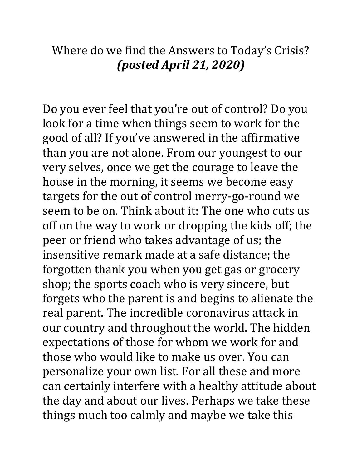## Where do we find the Answers to Today's Crisis? *(posted April 21, 2020)*

Do you ever feel that you're out of control? Do you look for a time when things seem to work for the good of all? If you've answered in the affirmative than you are not alone. From our youngest to our very selves, once we get the courage to leave the house in the morning, it seems we become easy targets for the out of control merry-go-round we seem to be on. Think about it: The one who cuts us off on the way to work or dropping the kids off; the peer or friend who takes advantage of us; the insensitive remark made at a safe distance; the forgotten thank you when you get gas or grocery shop; the sports coach who is very sincere, but forgets who the parent is and begins to alienate the real parent. The incredible coronavirus attack in our country and throughout the world. The hidden expectations of those for whom we work for and those who would like to make us over. You can personalize your own list. For all these and more can certainly interfere with a healthy attitude about the day and about our lives. Perhaps we take these things much too calmly and maybe we take this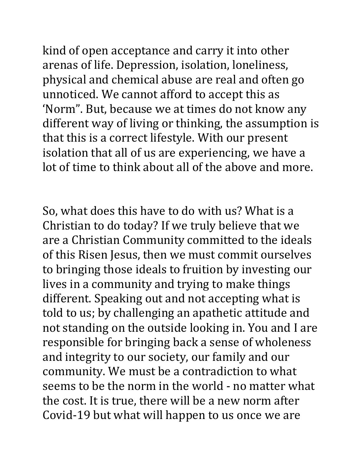kind of open acceptance and carry it into other arenas of life. Depression, isolation, loneliness, physical and chemical abuse are real and often go unnoticed. We cannot afford to accept this as 'Norm". But, because we at times do not know any different way of living or thinking, the assumption is that this is a correct lifestyle. With our present isolation that all of us are experiencing, we have a lot of time to think about all of the above and more.

So, what does this have to do with us? What is a Christian to do today? If we truly believe that we are a Christian Community committed to the ideals of this Risen Jesus, then we must commit ourselves to bringing those ideals to fruition by investing our lives in a community and trying to make things different. Speaking out and not accepting what is told to us; by challenging an apathetic attitude and not standing on the outside looking in. You and I are responsible for bringing back a sense of wholeness and integrity to our society, our family and our community. We must be a contradiction to what seems to be the norm in the world - no matter what the cost. It is true, there will be a new norm after Covid-19 but what will happen to us once we are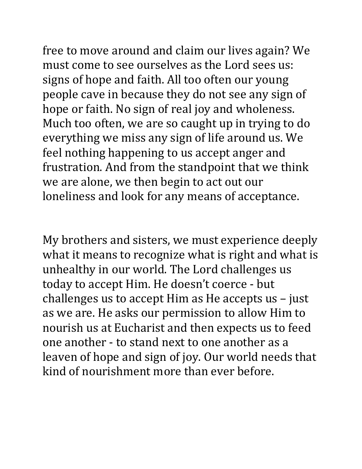free to move around and claim our lives again? We must come to see ourselves as the Lord sees us: signs of hope and faith. All too often our young people cave in because they do not see any sign of hope or faith. No sign of real joy and wholeness. Much too often, we are so caught up in trying to do everything we miss any sign of life around us. We feel nothing happening to us accept anger and frustration. And from the standpoint that we think we are alone, we then begin to act out our loneliness and look for any means of acceptance.

My brothers and sisters, we must experience deeply what it means to recognize what is right and what is unhealthy in our world. The Lord challenges us today to accept Him. He doesn't coerce - but challenges us to accept Him as He accepts us – just as we are. He asks our permission to allow Him to nourish us at Eucharist and then expects us to feed one another - to stand next to one another as a leaven of hope and sign of joy. Our world needs that kind of nourishment more than ever before.